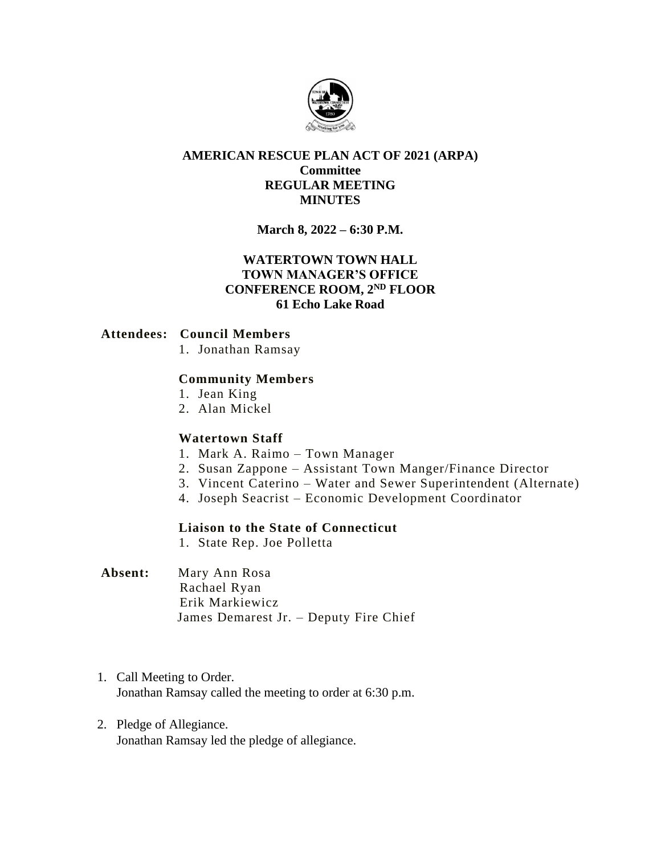

## **AMERICAN RESCUE PLAN ACT OF 2021 (ARPA) Committee REGULAR MEETING MINUTES**

# **March 8, 2022 – 6:30 P.M.**

# **WATERTOWN TOWN HALL TOWN MANAGER'S OFFICE CONFERENCE ROOM, 2ND FLOOR 61 Echo Lake Road**

### **Attendees: Council Members**

1. Jonathan Ramsay

### **Community Members**

- 1. Jean King
- 2. Alan Mickel

### **Watertown Staff**

- 1. Mark A. Raimo Town Manager
- 2. Susan Zappone Assistant Town Manger/Finance Director
- 3. Vincent Caterino Water and Sewer Superintendent (Alternate)
- 4. Joseph Seacrist Economic Development Coordinator

### **Liaison to the State of Connecticut**

1. State Rep. Joe Polletta

## **Absent:** Mary Ann Rosa Rachael Ryan Erik Markiewicz James Demarest Jr. – Deputy Fire Chief

- 1. Call Meeting to Order. Jonathan Ramsay called the meeting to order at 6:30 p.m.
- 2. Pledge of Allegiance. Jonathan Ramsay led the pledge of allegiance.